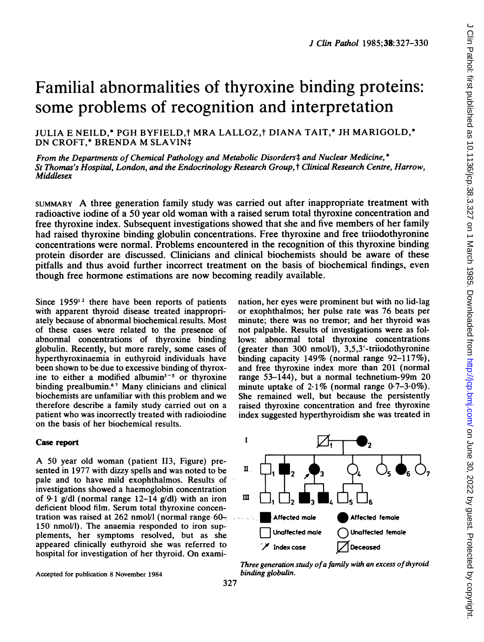# Familial abnormalities of thyroxine binding proteins: some problems of recognition and interpretation

JULIA E NEILD,\* PGH BYFIELD,t MRA LALLOZ,t DIANA TAIT,\* JH MARIGOLD,\* DN CROFT,\* BRENDA M SLAVIN‡

From the Departments of Chemical Pathology and Metabolic Disorders‡ and Nuclear Medicine,\* St Thomas's Hospital, London, and the Endocrinology Research Group, t Clinical Research Centre, Harrow, Middlesex

SUMMARY A three generation family study was carried out after inappropriate treatment with radioactive iodine of a 50 year old woman with a raised serum total thyroxine concentration and free thyroxine index. Subsequent investigations showed that she and five members of her family had raised thyroxine binding globulin concentrations. Free thyroxine and free triiodothyronine concentrations were normal. Problems encountered in the recognition of this thyroxine binding protein disorder are discussed. Clinicians and clinical biochemists should be aware of these pitfalls and thus avoid further incorrect treatment on the basis of biochemical findings, even though free hormone estimations are now becoming readily available.

Since  $1959<sup>12</sup>$  there have been reports of patients with apparent thyroid disease treated inappropriately because of abnormal biochemical results. Most of these cases were related to the presence of abnormal concentrations of thyroxine binding globulin. Recently, but more rarely, some cases of hyperthyroxinaemia in euthyroid individuals have been shown to be due to excessive binding of thyroxine to either a modified albumin<sup>3-5</sup> or thyroxine binding prealbumin.<sup>67</sup> Many clinicians and clinical biochemists are unfamiliar with this problem and we therefore describe a family study carried out on a patient who was incorrectly treated with radioiodine on the basis of her biochemical results.

#### Case report

A <sup>50</sup> year old woman (patient 113, Figure) presented in 1977 with dizzy spells and was noted to be pale and to have mild exophthalmos. Results of investigations showed a haemoglobin concentration of 9.1 g/dl (normal range  $12-14$  g/dl) with an iron deficient blood film. Serum total thyroxine concentration was raised at 262 nmol/l (normal-range- $60-$ 150 nmol/l). The anaemia responded to iron supplements, her symptoms resolved, but as she appeared clinically euthyroid she was referred to hospital for investigation of her thyroid. On exami-

Accepted for publication 8 November 1984

nation, her eyes were prominent but with no lid-lag or exophthalmos; her pulse rate was 76 beats per minute; there was no tremor; and her thyroid was not palpable. Results of investigations were as follows: abnormal total thyroxine concentrations (greater than 300 nmol/l), 3,5,3'-triiodothyronine binding capacity 149% (normal range 92-117%), and free thyroxine index more than 201 (normal range 53-144), but a normal technetium-99m 20 minute uptake of  $2.1\%$  (normal range  $0.7-3.0\%$ ). She remained well, but because the persistently raised thyroxine concentration and free thyroxine index suggested hyperthyroidism she was treated in



Three generation study of a family with an excess of thyroid binding globulin.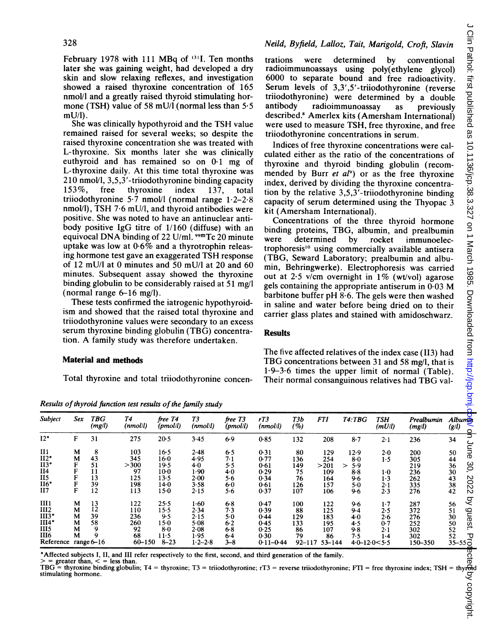February 1978 with <sup>111</sup> MBq of '3'I. Ten months later she was gaining weight, had developed a dry skin and slow relaxing reflexes, and investigation showed a raised thyroxine concentration of 165 nmol/l and a greatly raised thyroid stimulating hormone (TSH) value of 58 mU/l (normal less than 5.5  $mU/l$ ).

She was clinically hypothyroid and the TSH value remained raised for several weeks; so despite the raised thyroxine concentration she was treated with L-thyroxine. Six months later she was clinically euthyroid and has remained so on 0-1 mg of L-thyroxine daily. At this time total thyroxine was 210 nmol/l,  $3,5,3'$ -triiodothyronine binding capacity<br>153%, free thyroxine index 137, total thyroxine index 137, total triiodothyronine 5-7 nmol/l (normal range 1-2-2-8 nmol/l), TSH  $7.6$  mU/l, and thyroid antibodies were positive. She was noted to have an antinuclear antibody positive IgG titre of 1/160 (diffuse) with an equivocal DNA binding of 22 U/ml. 99mTc 20 minute uptake was low at  $0.6\%$  and a thyrotrophin releasing hormone test gave an exaggerated TSH response of 12 mU/l at 0 minutes and 50 mU/l at 20 and 60 minutes. Subsequent assay showed the thyroxine binding globulin to be considerably raised at 51 mg/l (normal range  $6-16$  mg/l).

These tests confirmed the iatrogenic hypothyroidism and showed that the raised total thyroxine and triiodothyronine values were secondary to an excess serum thyroxine binding globulin (TBG) concentration. A family study was therefore undertaken.

### Material and methods

Total thyroxine and total triiodothyronine concen-

trations were determined by conventional radioimmunoassays using poly(ethylene glycol) 6000 to separate bound and free radioactivity. Serum levels of 3,3',5'-triiodothyronine (reverse triiodothyronine) were determined by a double radioimmunoassay as previously described.8 Amerlex kits (Amersham International) were used to measure TSH, free thyroxine, and free triiodothyronine concentrations in serum.

Indices of free thyroxine concentrations were calculated either as the ratio of the concentrations of thyroxine and thyroid binding globulin (recommended by Burr et  $al^9$ ) or as the free thyroxine index, derived by dividing the thyroxine concentration by the relative 3,5,3'-triiodothyronine binding capacity of serum determined using the Thyopac 3 kit (Amersham International).

Neild, Byfield, Lalloz, Tait, Marigold, Croft, Slavin<br>
Trations<br>
vertations<br>
vertations<br>
vertalis and polyeculone<br>
and inferent glycolity is a comparison of 6000 to separate bound and free radioactivity.<br>
Serum levels of Concentrations of the three thyroid hormone binding proteins, TBG, albumin, and prealbumin<br>were determined by rocket immunoelecrocket immunoelectrophoresis'° using commercially available antisera (TBG, Seward Laboratory; prealbumin and albumin, Behringwerke). Electrophoresis was carried out at 2.5 v/cm overnight in  $1\%$  (wt/vol) agarose gels containing the appropriate antiserum in 0-03 M barbitone buffer pH  $8.6$ . The gels were then washed in saline and water before being dried on to their carrier glass plates and stained with amidoschwarz.

## **Results**

The five affected relatives of the index case (113) had TBG concentrations between <sup>31</sup> and <sup>58</sup> mg/l, that is 1-9-3-6 times the upper limit of normal (Table). Their normal consanguinous relatives had TBG val-

Subject Sex TBG T4 free T4 T3 free T3 rT3 T3b FTI T4:TBG TSH Prealbumin Albumin (mg/l) (nmol/l) (pmol/l) (nmol/l) (pmol/l) (nmol/l) (%) (mU/l) (mg/l) (g/l)  $12^*$  F 31 275 20-5 3-45 6-9 0-85 132 208 8-7 2-1 236 34 III M <sup>8</sup> <sup>103</sup> 16-5 2-48 6-5 0-31 <sup>80</sup> <sup>129</sup> 12-9 2-0 <sup>200</sup> <sup>50</sup>  $112^*$  M 43 345 16-0 4.95 7.1 0.77 136 254 8.0 1.5 305 44  $113^*$  F 51  $>300$  19-5 4-0 5-5 0-61 149  $>201$   $>5.9$  219 36  $\frac{114}{11}$  F 11 97 10-0 1-90 4-0 0-29 75 109 8-8 1-0 236 30 I15 F <sup>13</sup> <sup>125</sup> 13-5 2-00 5-6 0-34 76 164 9-6 1-3 262 43 II6\* F 39 198 14-0 3-58 6-0 0-61 126 157 5-0 2-1 335 38 <sup>117</sup> F <sup>12</sup> 113 15-0 2-15 5-6 0-37 107 106 9-6 2-3 276 42 IIII M <sup>13</sup> <sup>122</sup> 25-5 1-60 6-8 0-47 <sup>100</sup> <sup>122</sup> 9-6 1-7 <sup>287</sup> <sup>56</sup>  $\frac{1112}{112}$  M 12 110 15-5 2-34 7-3 0-39 88 125 9-4 2-5 372 51 III3\* M <sup>39</sup> <sup>236</sup> 9-5 2-15 5-0 0-44 <sup>129</sup> <sup>183</sup> 4-0 2-6 <sup>276</sup> <sup>30</sup> 1114\* M <sup>58</sup> <sup>260</sup> 15-0 5-08 6-2 0-45 <sup>133</sup> <sup>195</sup> 4-5 0-7 <sup>252</sup> <sup>50</sup> <sup>1115</sup> M <sup>9</sup> <sup>92</sup> 8-0 2-08 6-8 0-25 <sup>86</sup> <sup>107</sup> 9-8 2-1 <sup>302</sup> <sup>52</sup> 1116 M 9 68 11-5 1-95 6-4 0-30 79 86 7-5 1-4 302 52<br>Reference range 6-16 60-150 8-23 1-2-2-8 3-8 0-11-0-44 92-117 53-144 4-0-12-0<5-5 150-350 35-55 328.<br>
Neither as we guinning weight, haid developed a chy radioin measure advertised by conventions of the convention of the convention of the convention of the convention of the convention of the convention of the conven

Results of thyroid function test results of the family study

\*Affected subjects I, II, and III refer respectively to the first, second, and third generation of the family.<br>
> = greater than, < = less than.<br>
TBG = thyroxine binding globulin; T4 = thyroxine; T3 = triiodothyronine; rT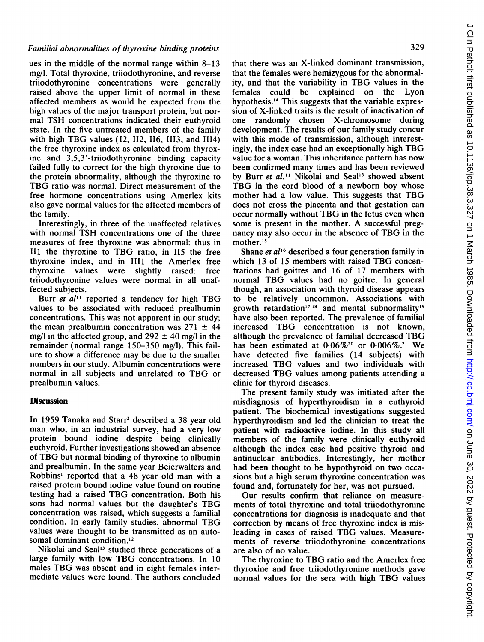#### Familial abnormalities of thyroxine binding proteins

ues in the middle of the normal range within 8-13 mg/l. Total thyroxine, triiodothyronine, and reverse triiodothyronine concentrations were generally raised above the upper limit of normal in these affected members as would be expected from the high values of the major transport protein, but normal TSH concentrations indicated their euthyroid state. In the five untreated members of the family with high TBG values (12, 112, 116, 1113, and 1114) the free thyroxine index as calculated from thyroxine and 3,5,3'-triiodothyronine binding capacity failed fully to correct for the high thyroxine due to the protein abnormality, although the thyroxine to TBG ratio was normal. Direct measurement of the free hormone concentrations using Amerlex kits also gave normal values for the affected members of the family.

Interestingly, in three of the unaffected relatives with normal TSH concentrations one of the three measures of free thyroxine was abnormal: thus in Ill the thyroxine to TBG ratio, in <sup>115</sup> the free thyroxine index, and in 1111 the Amerlex free thyroxine values were slightly raised: free triiodothyronine values were normal in all unaffected subjects.

Burr et  $al^{11}$  reported a tendency for high TBG values to be associated with reduced prealbumin concentrations. This was not apparent in our study; the mean prealbumin concentration was  $271 \pm 44$ mg/l in the affected group, and  $292 \pm 40$  mg/l in the remainder (normal range 150-350 mg/l). This failure to show a difference may be due to the smaller numbers in our study. Albumin concentrations were normal in all subjects and unrelated to TBG or prealbumin values.

## **Discussion**

In 1959 Tanaka and Starr<sup>2</sup> described a 38 year old man who, in an industrial survey, had a very low protein bound iodine despite being clinically euthyroid. Further investigations showed an absence of TBG but normal binding of thyroxine to albumin and prealbumin. In the same year Beierwalters and Robbins' reported that a 48 year old man with a raised protein bound iodine value found on routine testing had <sup>a</sup> raised TBG concentration. Both his sons had normal values but the daughter's TBG concentration was raised, which suggests a familial condition. In early family studies, abnormal TBG values were thought to be transmitted as an autosomal dominant condition.<sup>12</sup>

Nikolai and Seal'3 studied three generations of a large family with low TBG concentrations. In <sup>10</sup> males TBG was absent and in eight females intermediate values were found. The authors concluded

that there was an X-linked dominant transmission, that the females were hemizygous for the abnormality, and that the variability in TBG values in the females could be explained on the Lyon hypothesis.'4 This suggests that the variable expression of X-linked traits is the result of inactivation of one randomly chosen X-chromosome during development. The results of our family study concur with this mode of transmission, although interestingly, the index case had an exceptionally high TBG value for a woman. This inheritance pattern has now been confirmed many times and has been reviewed by Burr et al.<sup>11</sup> Nikolai and Seal<sup>13</sup> showed absent TBG in the cord blood of <sup>a</sup> newborn boy whose mother had <sup>a</sup> low value. This suggests that TBG does not cross the placenta and that gestation can occur normally without TBG in the fetus even when some is present in the mother. A successful pregnancy may also occur in the absence of TBG in the mother.<sup>15</sup>

Shane et  $al^{16}$  described a four generation family in which <sup>13</sup> of <sup>15</sup> members with raised TBG concentrations had goitres and 16 of 17 members with normal TBG values had no goitre. In general though, an association with thyroid disease appears to be relatively uncommon. Associations with growth retardation<sup>17</sup><sup>18</sup> and mental subnormality<sup>19</sup> have also been reported. The prevalence of familial increased TBG concentration is not known, although the prevalence of familial decreased TBG has been estimated at  $0.06\%^{20}$  or  $0.006\%^{21}$  We have detected five families (14 subjects) with increased TBG values and two individuals with decreased TBG values among patients attending <sup>a</sup> clinic for thyroid diseases.

Ihe present family study was initiated after the misdiagnosis of hyperthyroidism in a euthyroid patient. The biochemical investigations suggested hyperthyroidism and led the clinician to treat the patient with radioactive iodine. In this study all members of the family were clinically euthyroid although the index case had positive thyroid and antinuclear antibodies. Interestingly, her mother had been thought to be hypothyroid on two occasions but a high serum thyroxine concentration was found and, fortunately for her, was not pursued.

Our results confirm that reliance on measurements of total thyroxine and total triiodothyronine concentrations for diagnosis is inadequate and that correction by means of free thyroxine index is misleading in cases of raised TBG values. Measurements of reverse triiodothyronine concentrations are also of no value.

The thyroxine to TBG ratio and the Amerlex free thyroxine and free triiodothyronine methods gave normal values for the sera with high TBG values